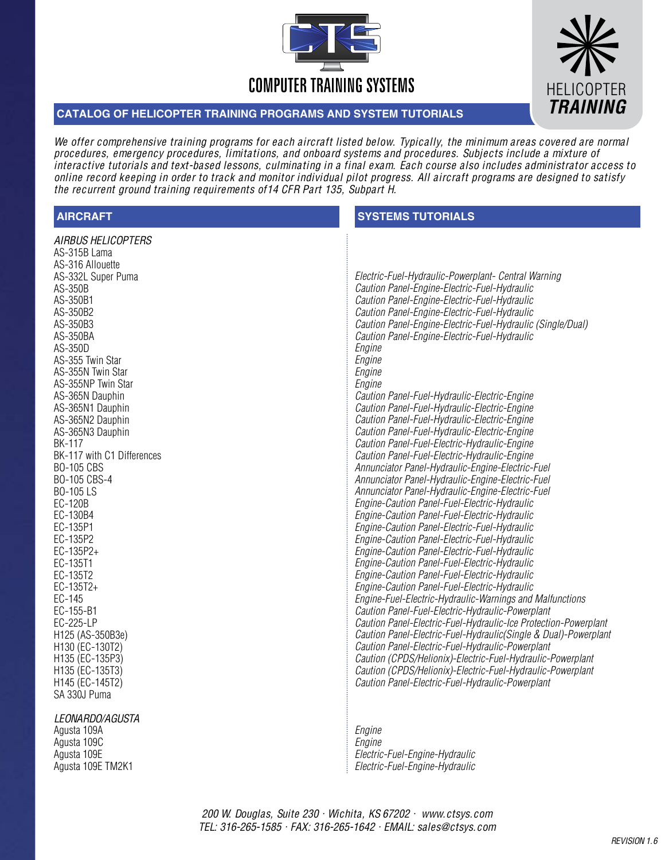



## **CATALOG OF HELICOPTER TRAINING PROGRAMS AND SYSTEM TUTORIALS**

We offer comprehensive training programs for each aircraft listed below. Typically, the minimum areas covered are normal procedures, emergency procedures, limitations, and onboard systems and procedures. Subjects include a mixture of interactive tutorials and text-based lessons, culminating in a final exam. Each course also includes administrator access to online record keeping in order to track and monitor individual pilot progress. All aircraft programs are designed to satisfy the recurrent ground training requirements of14 CFR Part 135, Subpart H.

| <b>AIRCRAFT</b>                                                                                                                                                                                                                                                                                                                                                                                                                                                                                                                                                                                                                                                           | <b>SYSTEMS TUTORIALS</b>                                                                                                                                                                                                                                                                                                                                                                                                                                                                                                                                                                                                                                                                                                                                                                                                                                                                                                                                                                                                                                                                                                                                                                                                                                                                                                                                                                                                                                                                                                                                                                                                                                                                                        |
|---------------------------------------------------------------------------------------------------------------------------------------------------------------------------------------------------------------------------------------------------------------------------------------------------------------------------------------------------------------------------------------------------------------------------------------------------------------------------------------------------------------------------------------------------------------------------------------------------------------------------------------------------------------------------|-----------------------------------------------------------------------------------------------------------------------------------------------------------------------------------------------------------------------------------------------------------------------------------------------------------------------------------------------------------------------------------------------------------------------------------------------------------------------------------------------------------------------------------------------------------------------------------------------------------------------------------------------------------------------------------------------------------------------------------------------------------------------------------------------------------------------------------------------------------------------------------------------------------------------------------------------------------------------------------------------------------------------------------------------------------------------------------------------------------------------------------------------------------------------------------------------------------------------------------------------------------------------------------------------------------------------------------------------------------------------------------------------------------------------------------------------------------------------------------------------------------------------------------------------------------------------------------------------------------------------------------------------------------------------------------------------------------------|
| AIRBUS HELICOPTERS<br>AS-315B Lama<br>AS-316 Allouette<br>AS-332L Super Puma<br>AS-350B<br>AS-350B1<br>AS-350B2<br>AS-350B3<br>AS-350BA<br>AS-350D<br>AS-355 Twin Star<br>AS-355N Twin Star<br>AS-355NP Twin Star<br>AS-365N Dauphin<br>AS-365N1 Dauphin<br>AS-365N2 Dauphin<br>AS-365N3 Dauphin<br><b>BK-117</b><br>BK-117 with C1 Differences<br><b>BO-105 CBS</b><br>BO-105 CBS-4<br>BO-105 LS<br>EC-120B<br>EC-130B4<br>EC-135P1<br>EC-135P2<br>EC-135P2+<br>EC-135T1<br>EC-135T2<br>EC-135T2+<br>EC-145<br>EC-155-B1<br>EC-225-LP<br>H125 (AS-350B3e)<br>H130 (EC-130T2)<br>H135 (EC-135P3)<br>H135 (EC-135T3)<br>H145 (EC-145T2)<br>SA 330J Puma<br>LEONARDO/AGUSTA | Electric-Fuel-Hydraulic-Powerplant- Central Warning<br>Caution Panel-Engine-Electric-Fuel-Hydraulic<br>Caution Panel-Engine-Electric-Fuel-Hydraulic<br>Caution Panel-Engine-Electric-Fuel-Hydraulic<br>Caution Panel-Engine-Electric-Fuel-Hydraulic (Single/Dual)<br>Caution Panel-Engine-Electric-Fuel-Hydraulic<br>Engine<br>Engine<br>Engine<br>Engine<br>Caution Panel-Fuel-Hydraulic-Electric-Engine<br>Caution Panel-Fuel-Hydraulic-Electric-Engine<br>Caution Panel-Fuel-Hydraulic-Electric-Engine<br>Caution Panel-Fuel-Hydraulic-Electric-Engine<br>Caution Panel-Fuel-Electric-Hydraulic-Engine<br>Caution Panel-Fuel-Electric-Hydraulic-Engine<br>Annunciator Panel-Hydraulic-Engine-Electric-Fuel<br>Annunciator Panel-Hydraulic-Engine-Electric-Fuel<br>Annunciator Panel-Hydraulic-Engine-Electric-Fuel<br>Engine-Caution Panel-Fuel-Electric-Hydraulic<br>Engine-Caution Panel-Fuel-Electric-Hydraulic<br>Engine-Caution Panel-Electric-Fuel-Hydraulic<br>Engine-Caution Panel-Electric-Fuel-Hydraulic<br>Engine-Caution Panel-Electric-Fuel-Hydraulic<br>Engine-Caution Panel-Fuel-Electric-Hydraulic<br>Engine-Caution Panel-Fuel-Electric-Hydraulic<br>Engine-Caution Panel-Fuel-Electric-Hydraulic<br>Engine-Fuel-Electric-Hydraulic-Warnings and Malfunctions<br>Caution Panel-Fuel-Electric-Hydraulic-Powerplant<br>Caution Panel-Electric-Fuel-Hydraulic-Ice Protection-Powerplant<br>Caution Panel-Electric-Fuel-Hydraulic(Single & Dual)-Powerplant<br>Caution Panel-Electric-Fuel-Hydraulic-Powerplant<br>Caution (CPDS/Helionix)-Electric-Fuel-Hydraulic-Powerplant<br>Caution (CPDS/Helionix)-Electric-Fuel-Hydraulic-Powerplant<br>Caution Panel-Electric-Fuel-Hydraulic-Powerplant |
| Agusta 109A                                                                                                                                                                                                                                                                                                                                                                                                                                                                                                                                                                                                                                                               | Engine                                                                                                                                                                                                                                                                                                                                                                                                                                                                                                                                                                                                                                                                                                                                                                                                                                                                                                                                                                                                                                                                                                                                                                                                                                                                                                                                                                                                                                                                                                                                                                                                                                                                                                          |

Agusta 109C Agusta 109E Agusta 109E TM2K1

*Engine Electric-Fuel-Engine-Hydraulic Electric-Fuel-Engine-Hydraulic* 

200 W. Douglas, Suite 230 • Wichita, KS 67202 • www.ctsys.com TEL: 316-265-1585 • FAX: 316-265-1642 • EMAIL: sales@ctsys.com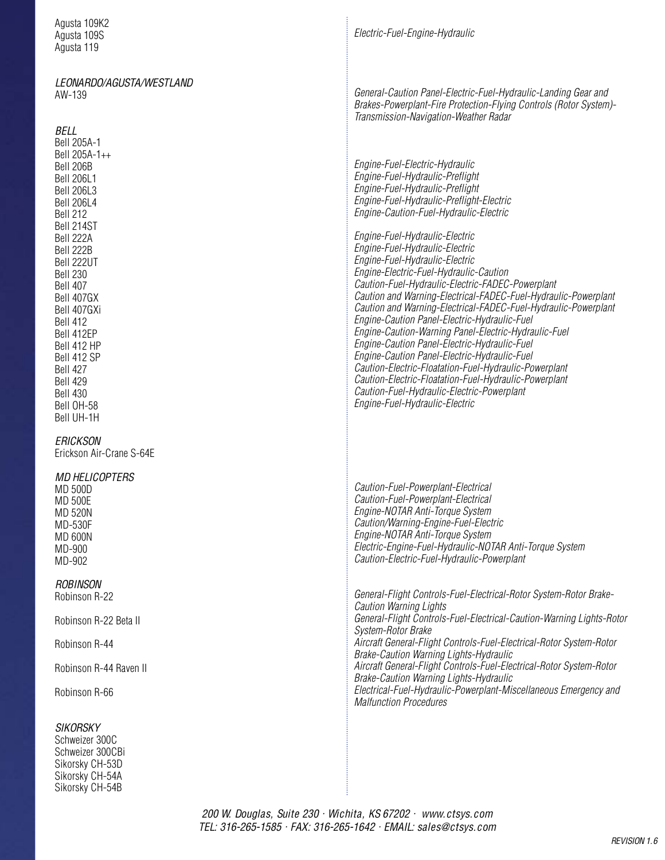| Agusta 109K2<br>Agusta 109S<br>Agusta 119                                                                                                                                                                                                                                                                                                                                                          | Electric-Fuel-Engine-Hydraulic                                                                                                                                                                                                                                                                                                                                                                                                                                                                                                                                                                                                                                                                                                                                                                                                                                                                                                               |
|----------------------------------------------------------------------------------------------------------------------------------------------------------------------------------------------------------------------------------------------------------------------------------------------------------------------------------------------------------------------------------------------------|----------------------------------------------------------------------------------------------------------------------------------------------------------------------------------------------------------------------------------------------------------------------------------------------------------------------------------------------------------------------------------------------------------------------------------------------------------------------------------------------------------------------------------------------------------------------------------------------------------------------------------------------------------------------------------------------------------------------------------------------------------------------------------------------------------------------------------------------------------------------------------------------------------------------------------------------|
| LEONARDO/AGUSTA/WESTLAND<br>AW-139                                                                                                                                                                                                                                                                                                                                                                 | General-Caution Panel-Electric-Fuel-Hydraulic-Landing Gear and<br>Brakes-Powerplant-Fire Protection-Flying Controls (Rotor System)-<br>Transmission-Navigation-Weather Radar                                                                                                                                                                                                                                                                                                                                                                                                                                                                                                                                                                                                                                                                                                                                                                 |
| BELL<br>Bell 205A-1<br>Bell 205A-1++<br>Bell 206B<br><b>Bell 206L1</b><br><b>Bell 206L3</b><br><b>Bell 206L4</b><br>Bell 212<br>Bell 214ST<br>Bell 222A<br>Bell 222B<br>Bell 222UT<br><b>Bell 230</b><br><b>Bell 407</b><br>Bell 407GX<br>Bell 407GXi<br><b>Bell 412</b><br>Bell 412EP<br>Bell 412 HP<br>Bell 412 SP<br><b>Bell 427</b><br>Bell 429<br><b>Bell 430</b><br>Bell OH-58<br>Bell UH-1H | Engine-Fuel-Electric-Hydraulic<br>Engine-Fuel-Hydraulic-Preflight<br>Engine-Fuel-Hydraulic-Preflight<br>Engine-Fuel-Hydraulic-Preflight-Electric<br>Engine-Caution-Fuel-Hydraulic-Electric<br>Engine-Fuel-Hydraulic-Electric<br>Engine-Fuel-Hydraulic-Electric<br>Engine-Fuel-Hydraulic-Electric<br>Engine-Electric-Fuel-Hydraulic-Caution<br>Caution-Fuel-Hydraulic-Electric-FADEC-Powerplant<br>Caution and Warning-Electrical-FADEC-Fuel-Hydraulic-Powerplant<br>Caution and Warning-Electrical-FADEC-Fuel-Hydraulic-Powerplant<br>Engine-Caution Panel-Electric-Hydraulic-Fuel<br>Engine-Caution-Warning Panel-Electric-Hydraulic-Fuel<br>Engine-Caution Panel-Electric-Hydraulic-Fuel<br>Engine-Caution Panel-Electric-Hydraulic-Fuel<br>Caution-Electric-Floatation-Fuel-Hydraulic-Powerplant<br>Caution-Electric-Floatation-Fuel-Hydraulic-Powerplant<br>Caution-Fuel-Hydraulic-Electric-Powerplant<br>Engine-Fuel-Hydraulic-Electric |
| ERICKSON<br>Erickson Air-Crane S-64E                                                                                                                                                                                                                                                                                                                                                               |                                                                                                                                                                                                                                                                                                                                                                                                                                                                                                                                                                                                                                                                                                                                                                                                                                                                                                                                              |
| <b>MD HELICOPTERS</b><br><b>MD 500D</b><br><b>MD 500E</b><br><b>MD 520N</b><br>MD-530F<br><b>MD 600N</b><br>MD-900<br>MD-902                                                                                                                                                                                                                                                                       | Caution-Fuel-Powerplant-Electrical<br>Caution-Fuel-Powerplant-Electrical<br>Engine-NOTAR Anti-Torque System<br>Caution/Warning-Engine-Fuel-Electric<br>Engine-NOTAR Anti-Torque System<br>Electric-Engine-Fuel-Hydraulic-NOTAR Anti-Torque System<br>Caution-Electric-Fuel-Hydraulic-Powerplant                                                                                                                                                                                                                                                                                                                                                                                                                                                                                                                                                                                                                                              |
| <b>ROBINSON</b><br>Robinson R-22                                                                                                                                                                                                                                                                                                                                                                   | General-Flight Controls-Fuel-Electrical-Rotor System-Rotor Brake-<br><b>Caution Warning Lights</b>                                                                                                                                                                                                                                                                                                                                                                                                                                                                                                                                                                                                                                                                                                                                                                                                                                           |
| Robinson R-22 Beta II                                                                                                                                                                                                                                                                                                                                                                              | General-Flight Controls-Fuel-Electrical-Caution-Warning Lights-Rotor<br>System-Rotor Brake                                                                                                                                                                                                                                                                                                                                                                                                                                                                                                                                                                                                                                                                                                                                                                                                                                                   |
| Robinson R-44                                                                                                                                                                                                                                                                                                                                                                                      | Aircraft General-Flight Controls-Fuel-Electrical-Rotor System-Rotor<br>Brake-Caution Warning Lights-Hydraulic                                                                                                                                                                                                                                                                                                                                                                                                                                                                                                                                                                                                                                                                                                                                                                                                                                |
| Robinson R-44 Raven II                                                                                                                                                                                                                                                                                                                                                                             | Aircraft General-Flight Controls-Fuel-Electrical-Rotor System-Rotor<br>Brake-Caution Warning Lights-Hydraulic                                                                                                                                                                                                                                                                                                                                                                                                                                                                                                                                                                                                                                                                                                                                                                                                                                |
| Robinson R-66                                                                                                                                                                                                                                                                                                                                                                                      | Electrical-Fuel-Hydraulic-Powerplant-Miscellaneous Emergency and<br><b>Malfunction Procedures</b>                                                                                                                                                                                                                                                                                                                                                                                                                                                                                                                                                                                                                                                                                                                                                                                                                                            |
| <b>SIKORSKY</b><br>Cabucizer 2000                                                                                                                                                                                                                                                                                                                                                                  |                                                                                                                                                                                                                                                                                                                                                                                                                                                                                                                                                                                                                                                                                                                                                                                                                                                                                                                                              |